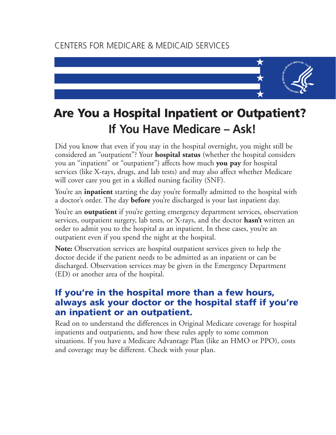# CENTERS FOR MEDICARE & MEDICAID SERVICES



# **Are You a Hospital Inpatient or Outpatient? If You Have Medicare – Ask!**

Did you know that even if you stay in the hospital overnight, you might still be considered an "outpatient"? Your **hospital status** (whether the hospital considers you an "inpatient" or "outpatient") affects how much **you pay** for hospital services (like X-rays, drugs, and lab tests) and may also affect whether Medicare will cover care you get in a skilled nursing facility (SNF).

You're an **inpatient** starting the day you're formally admitted to the hospital with a doctor's order. The day **before** you're discharged is your last inpatient day.

You're an **outpatient** if you're getting emergency department services, observation services, outpatient surgery, lab tests, or X-rays, and the doctor **hasn't** written an order to admit you to the hospital as an inpatient. In these cases, you're an outpatient even if you spend the night at the hospital.

**Note:** Observation services are hospital outpatient services given to help the doctor decide if the patient needs to be admitted as an inpatient or can be discharged. Observation services may be given in the Emergency Department (ED) or another area of the hospital.

#### **If you're in the hospital more than a few hours, always ask your doctor or the hospital staff if you're an inpatient or an outpatient.**

Read on to understand the differences in Original Medicare coverage for hospital inpatients and outpatients, and how these rules apply to some common situations. If you have a Medicare Advantage Plan (like an HMO or PPO), costs and coverage may be different. Check with your plan.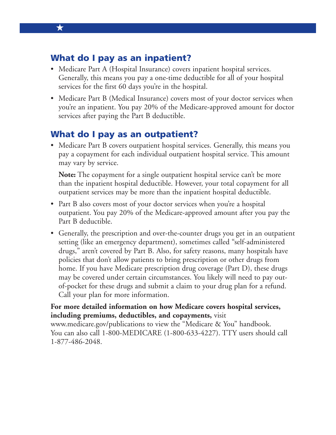#### **What do I pay as an inpatient?**

★

- Medicare Part A (Hospital Insurance) covers inpatient hospital services. Generally, this means you pay a one-time deductible for all of your hospital services for the first 60 days you're in the hospital.
- Medicare Part B (Medical Insurance) covers most of your doctor services when you're an inpatient. You pay 20% of the Medicare-approved amount for doctor services after paying the Part B deductible.

#### **What do I pay as an outpatient?**

• Medicare Part B covers outpatient hospital services. Generally, this means you pay a copayment for each individual outpatient hospital service. This amount may vary by service.

**Note:** The copayment for a single outpatient hospital service can't be more than the inpatient hospital deductible. However, your total copayment for all outpatient services may be more than the inpatient hospital deductible.

- Part B also covers most of your doctor services when you're a hospital outpatient. You pay 20% of the Medicare-approved amount after you pay the Part B deductible.
- Generally, the prescription and over-the-counter drugs you get in an outpatient setting (like an emergency department), sometimes called "self-administered drugs," aren't covered by Part B. Also, for safety reasons, many hospitals have policies that don't allow patients to bring prescription or other drugs from home. If you have Medicare prescription drug coverage (Part D), these drugs may be covered under certain circumstances. You likely will need to pay outof-pocket for these drugs and submit a claim to your drug plan for a refund. Call your plan for more information.

#### **For more detailed information on how Medicare covers hospital services, including premiums, deductibles, and copayments,** visit

[www.medicare.gov/publications to](http://www.medicare.gov/publications) view the "Medicare & You" handbook. You can also call 1-800-MEDICARE (1-800-633-4227). TTY users should call 1-877-486-2048.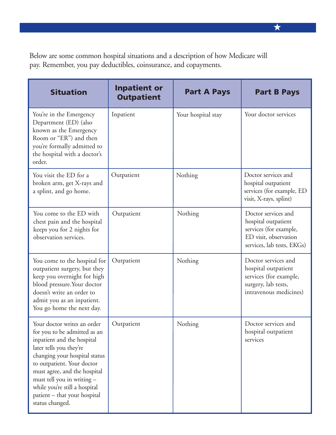Below are some common hospital situations and a description of how Medicare will pay. Remember, you pay deductibles, coinsurance, and copayments.

| <b>Situation</b>                                                                                                                                                                                                                                                                                                                      | <b>Inpatient or</b><br><b>Outpatient</b> | <b>Part A Pays</b> | <b>Part B Pays</b>                                                                                                          |
|---------------------------------------------------------------------------------------------------------------------------------------------------------------------------------------------------------------------------------------------------------------------------------------------------------------------------------------|------------------------------------------|--------------------|-----------------------------------------------------------------------------------------------------------------------------|
| You're in the Emergency<br>Department (ED) (also<br>known as the Emergency<br>Room or "ER") and then<br>you're formally admitted to<br>the hospital with a doctor's<br>order.                                                                                                                                                         | Inpatient                                | Your hospital stay | Your doctor services                                                                                                        |
| You visit the ED for a<br>broken arm, get X-rays and<br>a splint, and go home.                                                                                                                                                                                                                                                        | Outpatient                               | Nothing            | Doctor services and<br>hospital outpatient<br>services (for example, ED<br>visit, X-rays, splint)                           |
| You come to the ED with<br>chest pain and the hospital<br>keeps you for 2 nights for<br>observation services.                                                                                                                                                                                                                         | Outpatient                               | Nothing            | Doctor services and<br>hospital outpatient<br>services (for example,<br>ED visit, observation<br>services, lab tests, EKGs) |
| You come to the hospital for<br>outpatient surgery, but they<br>keep you overnight for high<br>blood pressure. Your doctor<br>doesn't write an order to<br>admit you as an inpatient.<br>You go home the next day.                                                                                                                    | Outpatient                               | Nothing            | Doctor services and<br>hospital outpatient<br>services (for example,<br>surgery, lab tests,<br>intravenous medicines)       |
| Your doctor writes an order<br>for you to be admitted as an<br>inpatient and the hospital<br>later tells you they're<br>changing your hospital status<br>to outpatient. Your doctor<br>must agree, and the hospital<br>must tell you in writing -<br>while you're still a hospital<br>patient - that your hospital<br>status changed. | Outpatient                               | Nothing            | Doctor services and<br>hospital outpatient<br>services                                                                      |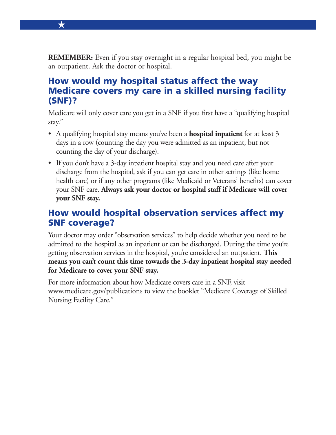**REMEMBER:** Even if you stay overnight in a regular hospital bed, you might be an outpatient. Ask the doctor or hospital.

★

#### **How would my hospital status affect the way Medicare covers my care in a skilled nursing facility (SNF)?**

Medicare will only cover care you get in a SNF if you first have a "qualifying hospital stay."

- A qualifying hospital stay means you've been a **hospital inpatient** for at least 3 days in a row (counting the day you were admitted as an inpatient, but not counting the day of your discharge).
- If you don't have a 3-day inpatient hospital stay and you need care after your discharge from the hospital, ask if you can get care in other settings (like home health care) or if any other programs (like Medicaid or Veterans' benefits) can cover your SNF care. **Always ask your doctor or hospital staff if Medicare will cover your SNF stay.**

# **How would hospital observation services affect my SNF coverage?**

Your doctor may order "observation services" to help decide whether you need to be admitted to the hospital as an inpatient or can be discharged. During the time you're getting observation services in the hospital, you're considered an outpatient. **This means you can't count this time towards the 3-day inpatient hospital stay needed for Medicare to cover your SNF stay.**

For more information about how Medicare covers care in a SNF, visit [www.medicare.gov/publications to](http://www.medicare.gov/publications) view the booklet "Medicare Coverage of Skilled Nursing Facility Care."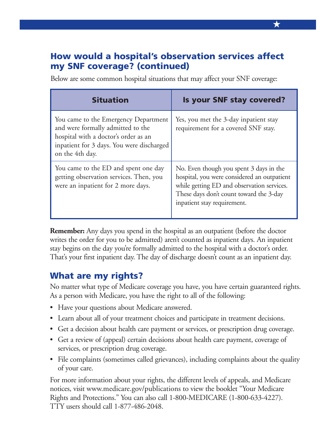## **How would a hospital's observation services affect my SNF coverage? (continued)**

| <b>Situation</b>                                                                                                                                                                  | Is your SNF stay covered?                                                                                                                                                                                      |  |
|-----------------------------------------------------------------------------------------------------------------------------------------------------------------------------------|----------------------------------------------------------------------------------------------------------------------------------------------------------------------------------------------------------------|--|
| You came to the Emergency Department<br>and were formally admitted to the<br>hospital with a doctor's order as an<br>inpatient for 3 days. You were discharged<br>on the 4th day. | Yes, you met the 3-day inpatient stay<br>requirement for a covered SNF stay.                                                                                                                                   |  |
| You came to the ED and spent one day<br>getting observation services. Then, you<br>were an inpatient for 2 more days.                                                             | No. Even though you spent 3 days in the<br>hospital, you were considered an outpatient<br>while getting ED and observation services.<br>These days don't count toward the 3-day<br>inpatient stay requirement. |  |

Below are some common hospital situations that may affect your SNF coverage:

**Remember:** Any days you spend in the hospital as an outpatient (before the doctor writes the order for you to be admitted) aren't counted as inpatient days. An inpatient stay begins on the day you're formally admitted to the hospital with a doctor's order. That's your first inpatient day. The day of discharge doesn't count as an inpatient day.

#### **What are my rights?**

No matter what type of Medicare coverage you have, you have certain guaranteed rights. As a person with Medicare, you have the right to all of the following:

- Have your questions about Medicare answered.
- Learn about all of your treatment choices and participate in treatment decisions.
- Get a decision about health care payment or services, or prescription drug coverage.
- Get a review of (appeal) certain decisions about health care payment, coverage of services, or prescription drug coverage.
- File complaints (sometimes called grievances), including complaints about the quality of your care.

For more information about your rights, the different levels of appeals, and Medicare notices, visit [www.medicare.gov/publications to](http://www.medicare.gov/publications) view the booklet "Your Medicare Rights and Protections." You can also call 1-800-MEDICARE (1-800-633-4227). TTY users should call 1-877-486-2048.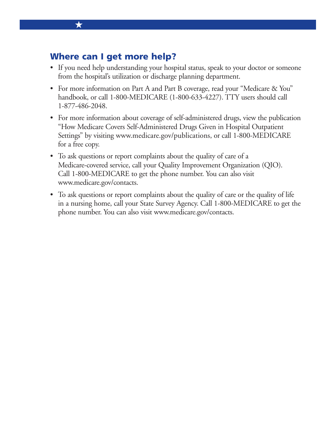#### **Where can I get more help?**

★

- If you need help understanding your hospital status, speak to your doctor or someone from the hospital's utilization or discharge planning department.
- For more information on Part A and Part B coverage, read your "Medicare & You" handbook, or call 1-800-MEDICARE (1-800-633-4227). TTY users should call 1-877-486-2048.
- For more information about coverage of self-administered drugs, view the publication "How Medicare Covers Self-Administered Drugs Given in Hospital Outpatient Settings" by visiting [www.medicare.gov/publications, or](http://www.medicare.gov/publications) call 1-800-MEDICARE for a free copy.
- To ask questions or report complaints about the quality of care of a Medicare-covered service, call your Quality Improvement Organization (QIO). Call 1-800-MEDICARE to get the phone number. You can also visit [www.medicare.gov/contacts.](http://www.medicare.gov/contacts)
- To ask questions or report complaints about the quality of care or the quality of life in a nursing home, call your State Survey Agency. Call 1-800-MEDICARE to get the phone number. You can also visit [www.medicare.gov/contacts.](http://www.medicare.gov/contacts)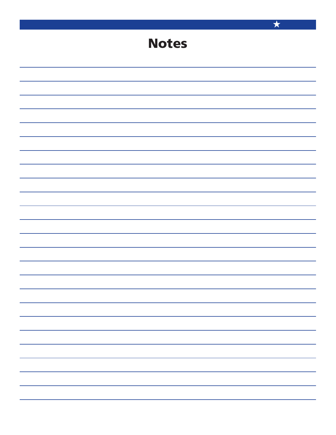